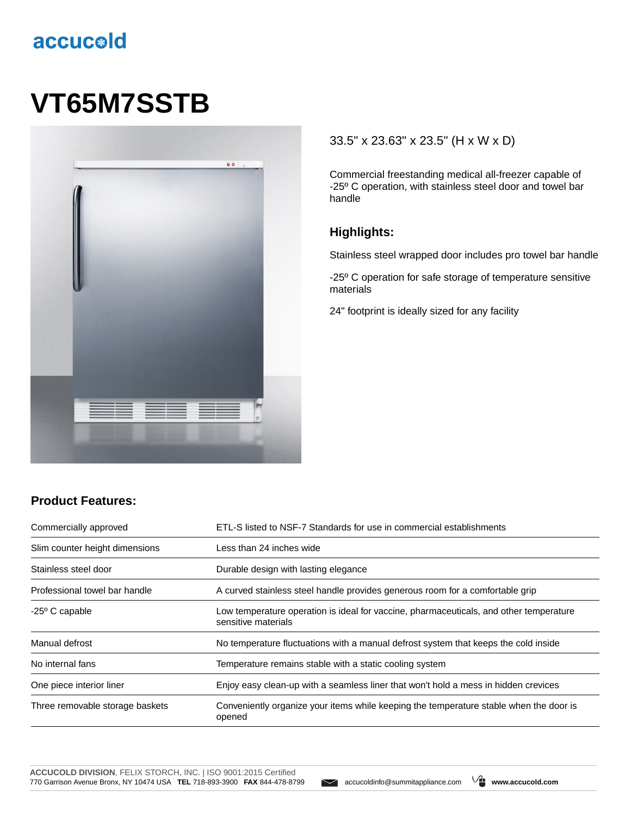## accucold

# **VT65M7SSTB**



#### 33.5" x 23.63" x 23.5" (H x W x D)

Commercial freestanding medical all-freezer capable of -25º C operation, with stainless steel door and towel bar handle

### **Highlights:**

Stainless steel wrapped door includes pro towel bar handle

-25º C operation for safe storage of temperature sensitive materials

24" footprint is ideally sized for any facility

#### **Product Features:**

| Commercially approved           | ETL-S listed to NSF-7 Standards for use in commercial establishments                                          |
|---------------------------------|---------------------------------------------------------------------------------------------------------------|
| Slim counter height dimensions  | Less than 24 inches wide                                                                                      |
| Stainless steel door            | Durable design with lasting elegance                                                                          |
| Professional towel bar handle   | A curved stainless steel handle provides generous room for a comfortable grip                                 |
| $-25^{\circ}$ C capable         | Low temperature operation is ideal for vaccine, pharmaceuticals, and other temperature<br>sensitive materials |
| Manual defrost                  | No temperature fluctuations with a manual defrost system that keeps the cold inside                           |
| No internal fans                | Temperature remains stable with a static cooling system                                                       |
| One piece interior liner        | Enjoy easy clean-up with a seamless liner that won't hold a mess in hidden crevices                           |
| Three removable storage baskets | Conveniently organize your items while keeping the temperature stable when the door is<br>opened              |